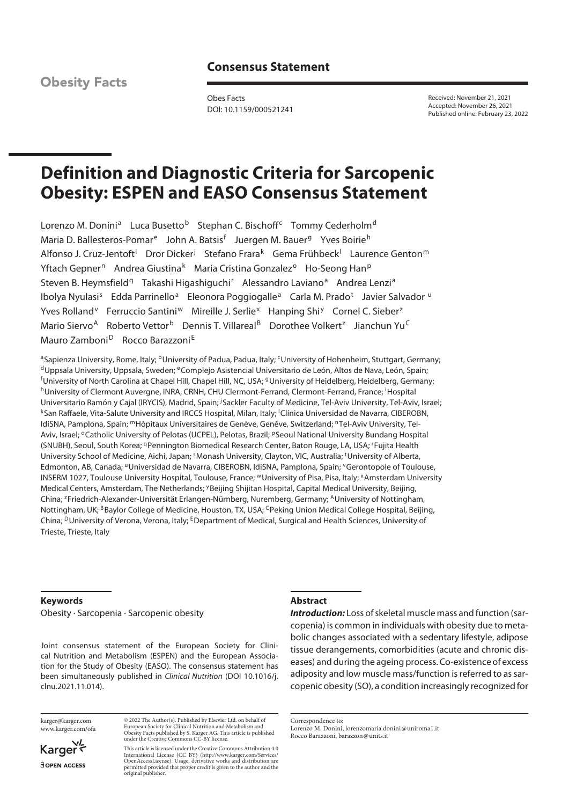# **Consensus Statement**

**Obesity Facts** 

Obes Facts DOI: 10.1159/000521241 Received: November 21, 2021 Accepted: November 26, 2021 Published online: February 23, 2022

# **Definition and Diagnostic Criteria for Sarcopenic Obesity: ESPEN and EASO Consensus Statement**

Lorenzo M. Donini<sup>a</sup> Luca Busetto<sup>b</sup> Stephan C. Bischoff<sup>c</sup> Tommy Cederholm<sup>d</sup> Maria D. Ballesteros-Pomar<sup>e</sup> John A. Batsis<sup>f</sup> Juergen M. Bauer<sup>g</sup> Yves Boirie<sup>h</sup> Alfonso J. Cruz-Jentoft<sup>i</sup> Dror Dicker<sup>j</sup> Stefano Frara<sup>k</sup> Gema Frühbeck<sup>l</sup> Laurence Genton<sup>m</sup> Yftach Gepner<sup>n</sup> Andrea Giustina<sup>k</sup> Maria Cristina Gonzalez<sup>o</sup> Ho-Seong Han<sup>p</sup> Steven B. Heymsfield<sup>q</sup> Takashi Higashiguchi<sup>r</sup> Alessandro Laviano<sup>a</sup> Andrea Lenzi<sup>a</sup> Ibolya Nyulasi<sup>s</sup> Edda Parrinello<sup>a</sup> Eleonora Poggiogalle<sup>a</sup> Carla M. Prado<sup>t</sup> Javier Salvador u Yves Rolland<sup>v</sup> Ferruccio Santini<sup>w</sup> Mireille J. Serlie<sup>x</sup> Hanping Shi<sup>y</sup> Cornel C. Sieber<sup>z</sup> Mario Siervo<sup>A</sup> Roberto Vettor<sup>b</sup> Dennis T. Villareal<sup>B</sup> Dorothee Volkert<sup>z</sup> Jianchun Yu<sup>C</sup> Mauro Zamboni<sup>D</sup> Rocco Barazzoni<sup>E</sup>

<sup>a</sup> Sapienza University, Rome, Italy; <sup>b</sup>University of Padua, Padua, Italy; <sup>c</sup>University of Hohenheim, Stuttgart, Germany;<br><sup>d</sup>Uppsala University, Uppsala, Sweden; <sup>e</sup>Complejo Asistencial Universitario de León, Altos de Na <sup>f</sup>University of North Carolina at Chapel Hill, Chapel Hill, NC, USA; <sup>g</sup>University of Heidelberg, Heidelberg, Germany; h University of Clermont Auvergne, INRA, CRNH, CHU Clermont-Ferrand, Clermont-Ferrand, France; <sup>i</sup> Hospital Universitario Ramón y Cajal (IRYCIS), Madrid, Spain; <sup>j</sup> Sackler Faculty of Medicine, Tel-Aviv University, Tel-Aviv, Israel; Universitario Ramón y Cajal (IRYCIS), Madrid, Spain; <sup>j</sup>Sackler Faculty of Medicine, Tel-Aviv University, Tel-Aviv, Israel;<br><sup>k</sup>San Raffaele, Vita-Salute University and IRCCS Hospital, Milan, Italy; <sup>I</sup>Clínica Universidad d IdiSNA, Pamplona, Spain; <sup>m</sup>Hôpitaux Universitaires de Genève, Genève, Switzerland; <sup>n</sup>Tel-Aviv University, Tel-Aviv, Israel; <sup>o</sup>Catholic University of Pelotas (UCPEL), Pelotas, Brazil; <sup>p</sup>Seoul National University Bundang Hospital (SNUBH), Seoul, South Korea; <sup>q</sup>Pennington Biomedical Research Center, Baton Rouge, LA, USA; 'Fujita Health University School of Medicine, Aichi, Japan; <sup>s</sup>Monash University, Clayton, VIC, Australia; <sup>t</sup>University of Alberta, Edmonton, AB, Canada; <sup>u</sup>Universidad de Navarra, CIBEROBN, IdiSNA, Pamplona, Spain; <sup>v</sup>Gerontopole of Toulouse, INSERM 1027, Toulouse University Hospital, Toulouse, France; WUniversity of Pisa, Pisa, Italy; XAmsterdam University Medical Centers, Amsterdam, The Netherlands; yBeijing Shijitan Hospital, Capital Medical University, Beijing, China; <sup>z</sup>Friedrich-Alexander-Universität Erlangen-Nürnberg, Nuremberg, Germany; AUniversity of Nottingham, Nottingham, UK; <sup>B</sup>Baylor College of Medicine, Houston, TX, USA; <sup>C</sup>Peking Union Medical College Hospital, Beijing, China; <sup>D</sup>University of Verona, Verona, Italy; <sup>E</sup>Department of Medical, Surgical and Health Sciences, University of Trieste, Trieste, Italy

#### **Keywords**

Obesity · Sarcopenia · Sarcopenic obesity

Joint consensus statement of the European Society for Clinical Nutrition and Metabolism (ESPEN) and the European Association for the Study of Obesity (EASO). The consensus statement has been simultaneously published in *Clinical Nutrition* (DOI 10.1016/j. clnu.2021.11.014).

**Abstract**

*Introduction:* Loss of skeletal muscle mass and function (sarcopenia) is common in individuals with obesity due to metabolic changes associated with a sedentary lifestyle, adipose tissue derangements, comorbidities (acute and chronic diseases) and during the ageing process. Co-existence of excess adiposity and low muscle mass/function is referred to as sarcopenic obesity (SO), a condition increasingly recognized for

karger@karger.com www.karger.com/ofa

© 2022 The Author(s). Published by Elsevier Ltd. on behalf of European Society for Clinical Nutrition and Metabolism and Obesity Facts published by S. Karger AG. This article is published under the Creative Commons CC-BY license.

Karger dopen Access

This article is licensed under the Creative Commons Attribution 4.0 International License (CC BY) (http://www.karger.com/Services/ OpenAccessLicense). Usage, derivative works and distribution are permitted provided that proper credit is given to the author and the original publisher.

Correspondence to: Lorenzo M. Donini, lorenzomaria.donini@uniroma1.it Rocco Barazzoni, barazzon@units.it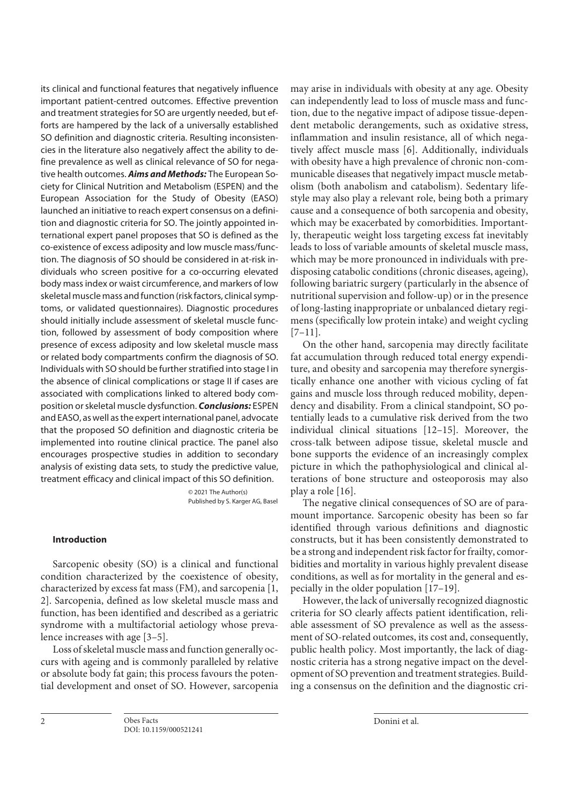its clinical and functional features that negatively influence important patient-centred outcomes. Effective prevention and treatment strategies for SO are urgently needed, but efforts are hampered by the lack of a universally established SO definition and diagnostic criteria. Resulting inconsistencies in the literature also negatively affect the ability to define prevalence as well as clinical relevance of SO for negative health outcomes. *Aims and Methods:* The European Society for Clinical Nutrition and Metabolism (ESPEN) and the European Association for the Study of Obesity (EASO) launched an initiative to reach expert consensus on a definition and diagnostic criteria for SO. The jointly appointed international expert panel proposes that SO is defined as the co-existence of excess adiposity and low muscle mass/function. The diagnosis of SO should be considered in at-risk individuals who screen positive for a co-occurring elevated body mass index or waist circumference, and markers of low skeletal muscle mass and function (risk factors, clinical symptoms, or validated questionnaires). Diagnostic procedures should initially include assessment of skeletal muscle function, followed by assessment of body composition where presence of excess adiposity and low skeletal muscle mass or related body compartments confirm the diagnosis of SO. Individuals with SO should be further stratified into stage I in the absence of clinical complications or stage II if cases are associated with complications linked to altered body composition or skeletal muscle dysfunction. *Conclusions:* ESPEN and EASO, as well as the expert international panel, advocate that the proposed SO definition and diagnostic criteria be implemented into routine clinical practice. The panel also encourages prospective studies in addition to secondary analysis of existing data sets, to study the predictive value, treatment efficacy and clinical impact of this SO definition.

> © 2021 The Author(s) Published by S. Karger AG, Basel

## **Introduction**

Sarcopenic obesity (SO) is a clinical and functional condition characterized by the coexistence of obesity, characterized by excess fat mass (FM), and sarcopenia [1, 2]. Sarcopenia, defined as low skeletal muscle mass and function, has been identified and described as a geriatric syndrome with a multifactorial aetiology whose prevalence increases with age [3–5].

Loss of skeletal muscle mass and function generally occurs with ageing and is commonly paralleled by relative or absolute body fat gain; this process favours the potential development and onset of SO. However, sarcopenia may arise in individuals with obesity at any age. Obesity can independently lead to loss of muscle mass and function, due to the negative impact of adipose tissue-dependent metabolic derangements, such as oxidative stress, inflammation and insulin resistance, all of which negatively affect muscle mass [6]. Additionally, individuals with obesity have a high prevalence of chronic non-communicable diseases that negatively impact muscle metabolism (both anabolism and catabolism). Sedentary lifestyle may also play a relevant role, being both a primary cause and a consequence of both sarcopenia and obesity, which may be exacerbated by comorbidities. Importantly, therapeutic weight loss targeting excess fat inevitably leads to loss of variable amounts of skeletal muscle mass, which may be more pronounced in individuals with predisposing catabolic conditions (chronic diseases, ageing), following bariatric surgery (particularly in the absence of nutritional supervision and follow-up) or in the presence of long-lasting inappropriate or unbalanced dietary regimens (specifically low protein intake) and weight cycling  $[7-11]$ .

On the other hand, sarcopenia may directly facilitate fat accumulation through reduced total energy expenditure, and obesity and sarcopenia may therefore synergistically enhance one another with vicious cycling of fat gains and muscle loss through reduced mobility, dependency and disability. From a clinical standpoint, SO potentially leads to a cumulative risk derived from the two individual clinical situations [12–15]. Moreover, the cross-talk between adipose tissue, skeletal muscle and bone supports the evidence of an increasingly complex picture in which the pathophysiological and clinical alterations of bone structure and osteoporosis may also play a role [16].

The negative clinical consequences of SO are of paramount importance. Sarcopenic obesity has been so far identified through various definitions and diagnostic constructs, but it has been consistently demonstrated to be a strong and independent risk factor for frailty, comorbidities and mortality in various highly prevalent disease conditions, as well as for mortality in the general and especially in the older population [17–19].

However, the lack of universally recognized diagnostic criteria for SO clearly affects patient identification, reliable assessment of SO prevalence as well as the assessment of SO-related outcomes, its cost and, consequently, public health policy. Most importantly, the lack of diagnostic criteria has a strong negative impact on the development of SO prevention and treatment strategies. Building a consensus on the definition and the diagnostic cri-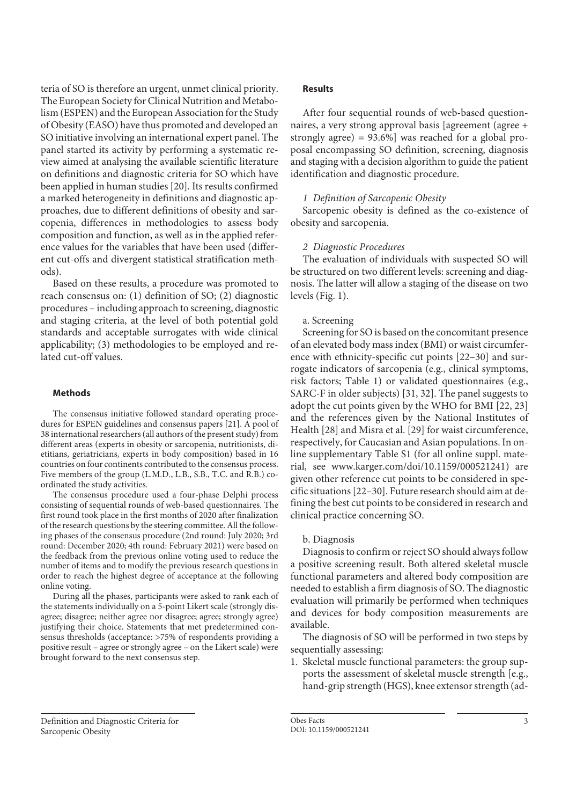teria of SO is therefore an urgent, unmet clinical priority. The European Society for Clinical Nutrition and Metabolism (ESPEN) and the European Association for the Study of Obesity (EASO) have thus promoted and developed an SO initiative involving an international expert panel. The panel started its activity by performing a systematic review aimed at analysing the available scientific literature on definitions and diagnostic criteria for SO which have been applied in human studies [20]. Its results confirmed a marked heterogeneity in definitions and diagnostic approaches, due to different definitions of obesity and sarcopenia, differences in methodologies to assess body composition and function, as well as in the applied reference values for the variables that have been used (different cut-offs and divergent statistical stratification methods).

Based on these results, a procedure was promoted to reach consensus on: (1) definition of SO; (2) diagnostic procedures – including approach to screening, diagnostic and staging criteria, at the level of both potential gold standards and acceptable surrogates with wide clinical applicability; (3) methodologies to be employed and related cut-off values.

#### **Methods**

The consensus initiative followed standard operating procedures for ESPEN guidelines and consensus papers [21]. A pool of 38 international researchers (all authors of the present study) from different areas (experts in obesity or sarcopenia, nutritionists, dietitians, geriatricians, experts in body composition) based in 16 countries on four continents contributed to the consensus process. Five members of the group (L.M.D., L.B., S.B., T.C. and R.B.) coordinated the study activities.

The consensus procedure used a four-phase Delphi process consisting of sequential rounds of web-based questionnaires. The first round took place in the first months of 2020 after finalization of the research questions by the steering committee. All the following phases of the consensus procedure (2nd round: July 2020; 3rd round: December 2020; 4th round: February 2021) were based on the feedback from the previous online voting used to reduce the number of items and to modify the previous research questions in order to reach the highest degree of acceptance at the following online voting.

During all the phases, participants were asked to rank each of the statements individually on a 5-point Likert scale (strongly disagree; disagree; neither agree nor disagree; agree; strongly agree) justifying their choice. Statements that met predetermined consensus thresholds (acceptance: >75% of respondents providing a positive result – agree or strongly agree – on the Likert scale) were brought forward to the next consensus step.

#### **Results**

After four sequential rounds of web-based questionnaires, a very strong approval basis [agreement (agree + strongly agree) = 93.6%] was reached for a global proposal encompassing SO definition, screening, diagnosis and staging with a decision algorithm to guide the patient identification and diagnostic procedure.

#### *1 Definition of Sarcopenic Obesity*

Sarcopenic obesity is defined as the co-existence of obesity and sarcopenia.

# *2 Diagnostic Procedures*

The evaluation of individuals with suspected SO will be structured on two different levels: screening and diagnosis. The latter will allow a staging of the disease on two levels (Fig. 1).

#### a. Screening

Screening for SO is based on the concomitant presence of an elevated body mass index (BMI) or waist circumference with ethnicity-specific cut points [22–30] and surrogate indicators of sarcopenia (e.g., clinical symptoms, risk factors; Table 1) or validated questionnaires (e.g., SARC-F in older subjects) [31, 32]. The panel suggests to adopt the cut points given by the WHO for BMI [22, 23] and the references given by the National Institutes of Health [28] and Misra et al. [29] for waist circumference, respectively, for Caucasian and Asian populations. In online supplementary Table S1 (for all online suppl. material, see www.karger.com/doi/10.1159/000521241) are given other reference cut points to be considered in specific situations [22–30]. Future research should aim at defining the best cut points to be considered in research and clinical practice concerning SO.

#### b. Diagnosis

Diagnosis to confirm or reject SO should always follow a positive screening result. Both altered skeletal muscle functional parameters and altered body composition are needed to establish a firm diagnosis of SO. The diagnostic evaluation will primarily be performed when techniques and devices for body composition measurements are available.

The diagnosis of SO will be performed in two steps by sequentially assessing:

1. Skeletal muscle functional parameters: the group supports the assessment of skeletal muscle strength [e.g., hand-grip strength (HGS), knee extensor strength (ad-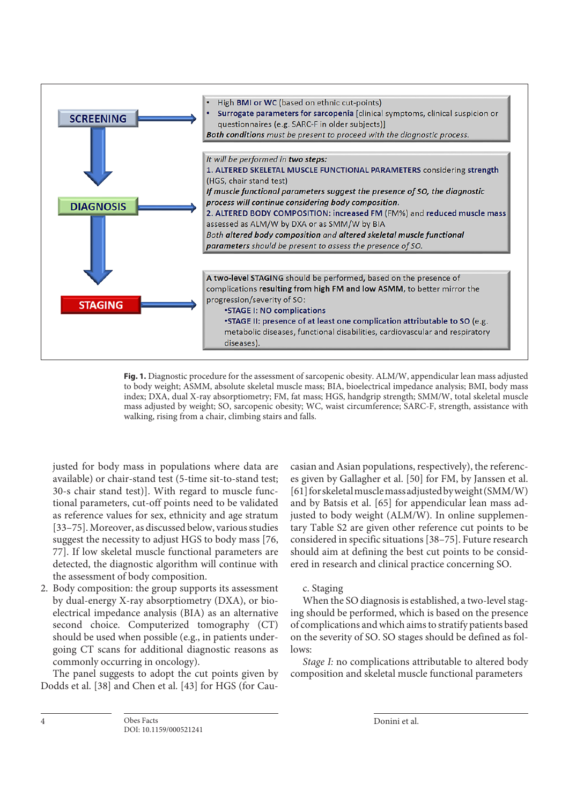

**Fig. 1.** Diagnostic procedure for the assessment of sarcopenic obesity. ALM/W, appendicular lean mass adjusted to body weight; ASMM, absolute skeletal muscle mass; BIA, bioelectrical impedance analysis; BMI, body mass index; DXA, dual X-ray absorptiometry; FM, fat mass; HGS, handgrip strength; SMM/W, total skeletal muscle mass adjusted by weight; SO, sarcopenic obesity; WC, waist circumference; SARC-F, strength, assistance with walking, rising from a chair, climbing stairs and falls.

justed for body mass in populations where data are available) or chair-stand test (5-time sit-to-stand test; 30-s chair stand test)]. With regard to muscle functional parameters, cut-off points need to be validated as reference values for sex, ethnicity and age stratum [33–75]. Moreover, as discussed below, various studies suggest the necessity to adjust HGS to body mass [76, 77]. If low skeletal muscle functional parameters are detected, the diagnostic algorithm will continue with the assessment of body composition.

2. Body composition: the group supports its assessment by dual-energy X-ray absorptiometry (DXA), or bioelectrical impedance analysis (BIA) as an alternative second choice. Computerized tomography (CT) should be used when possible (e.g., in patients undergoing CT scans for additional diagnostic reasons as commonly occurring in oncology).

The panel suggests to adopt the cut points given by Dodds et al. [38] and Chen et al. [43] for HGS (for Caucasian and Asian populations, respectively), the references given by Gallagher et al. [50] for FM, by Janssen et al. [61] for skeletal muscle mass adjusted by weight (SMM/W) and by Batsis et al. [65] for appendicular lean mass adjusted to body weight (ALM/W). In online supplementary Table S2 are given other reference cut points to be considered in specific situations [38–75]. Future research should aim at defining the best cut points to be considered in research and clinical practice concerning SO.

# c. Staging

When the SO diagnosis is established, a two-level staging should be performed, which is based on the presence of complications and which aims to stratify patients based on the severity of SO. SO stages should be defined as follows:

*Stage I:* no complications attributable to altered body composition and skeletal muscle functional parameters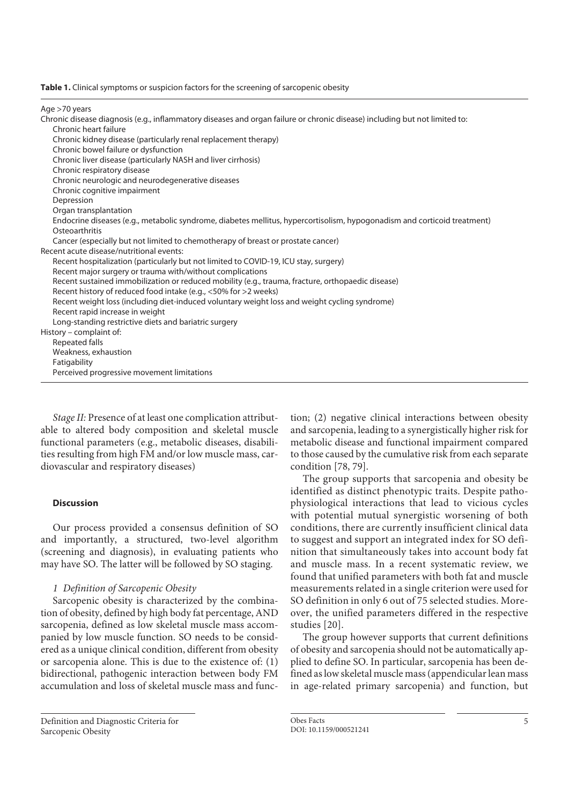|  | <b>Table 1.</b> Clinical symptoms or suspicion factors for the screening of sarcopenic obesity |  |  |  |
|--|------------------------------------------------------------------------------------------------|--|--|--|
|  |                                                                                                |  |  |  |
|  |                                                                                                |  |  |  |

Age >70 years

Chronic disease diagnosis (e.g., inflammatory diseases and organ failure or chronic disease) including but not limited to: Chronic heart failure Chronic kidney disease (particularly renal replacement therapy) Chronic bowel failure or dysfunction Chronic liver disease (particularly NASH and liver cirrhosis) Chronic respiratory disease Chronic neurologic and neurodegenerative diseases Chronic cognitive impairment Depression Organ transplantation Endocrine diseases (e.g., metabolic syndrome, diabetes mellitus, hypercortisolism, hypogonadism and corticoid treatment) **Osteoarthritis** Cancer (especially but not limited to chemotherapy of breast or prostate cancer) Recent acute disease/nutritional events: Recent hospitalization (particularly but not limited to COVID-19, ICU stay, surgery) Recent major surgery or trauma with/without complications Recent sustained immobilization or reduced mobility (e.g., trauma, fracture, orthopaedic disease) Recent history of reduced food intake (e.g., <50% for >2 weeks) Recent weight loss (including diet-induced voluntary weight loss and weight cycling syndrome) Recent rapid increase in weight Long-standing restrictive diets and bariatric surgery History – complaint of: Repeated falls Weakness, exhaustion **Fatigability** Perceived progressive movement limitations

*Stage II:* Presence of at least one complication attributable to altered body composition and skeletal muscle functional parameters (e.g., metabolic diseases, disabilities resulting from high FM and/or low muscle mass, cardiovascular and respiratory diseases)

#### **Discussion**

Our process provided a consensus definition of SO and importantly, a structured, two-level algorithm (screening and diagnosis), in evaluating patients who may have SO. The latter will be followed by SO staging.

#### *1 Definition of Sarcopenic Obesity*

Sarcopenic obesity is characterized by the combination of obesity, defined by high body fat percentage, AND sarcopenia, defined as low skeletal muscle mass accompanied by low muscle function. SO needs to be considered as a unique clinical condition, different from obesity or sarcopenia alone. This is due to the existence of: (1) bidirectional, pathogenic interaction between body FM accumulation and loss of skeletal muscle mass and function; (2) negative clinical interactions between obesity and sarcopenia, leading to a synergistically higher risk for metabolic disease and functional impairment compared to those caused by the cumulative risk from each separate condition [78, 79].

The group supports that sarcopenia and obesity be identified as distinct phenotypic traits. Despite pathophysiological interactions that lead to vicious cycles with potential mutual synergistic worsening of both conditions, there are currently insufficient clinical data to suggest and support an integrated index for SO definition that simultaneously takes into account body fat and muscle mass. In a recent systematic review, we found that unified parameters with both fat and muscle measurements related in a single criterion were used for SO definition in only 6 out of 75 selected studies. Moreover, the unified parameters differed in the respective studies [20].

The group however supports that current definitions of obesity and sarcopenia should not be automatically applied to define SO. In particular, sarcopenia has been defined as low skeletal muscle mass (appendicular lean mass in age-related primary sarcopenia) and function, but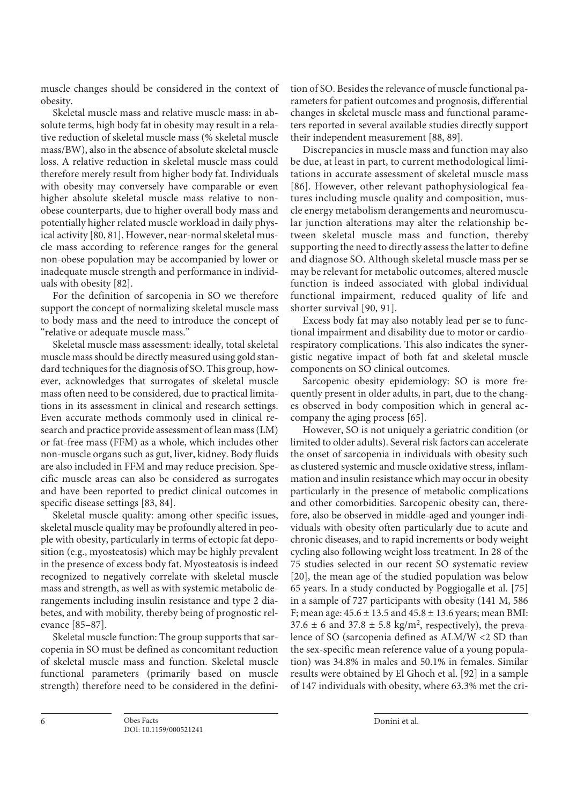muscle changes should be considered in the context of obesity.

Skeletal muscle mass and relative muscle mass: in absolute terms, high body fat in obesity may result in a relative reduction of skeletal muscle mass (% skeletal muscle mass/BW), also in the absence of absolute skeletal muscle loss. A relative reduction in skeletal muscle mass could therefore merely result from higher body fat. Individuals with obesity may conversely have comparable or even higher absolute skeletal muscle mass relative to nonobese counterparts, due to higher overall body mass and potentially higher related muscle workload in daily physical activity [80, 81]. However, near-normal skeletal muscle mass according to reference ranges for the general non-obese population may be accompanied by lower or inadequate muscle strength and performance in individuals with obesity [82].

For the definition of sarcopenia in SO we therefore support the concept of normalizing skeletal muscle mass to body mass and the need to introduce the concept of "relative or adequate muscle mass."

Skeletal muscle mass assessment: ideally, total skeletal muscle mass should be directly measured using gold standard techniques for the diagnosis of SO. This group, however, acknowledges that surrogates of skeletal muscle mass often need to be considered, due to practical limitations in its assessment in clinical and research settings. Even accurate methods commonly used in clinical research and practice provide assessment of lean mass (LM) or fat-free mass (FFM) as a whole, which includes other non-muscle organs such as gut, liver, kidney. Body fluids are also included in FFM and may reduce precision. Specific muscle areas can also be considered as surrogates and have been reported to predict clinical outcomes in specific disease settings [83, 84].

Skeletal muscle quality: among other specific issues, skeletal muscle quality may be profoundly altered in people with obesity, particularly in terms of ectopic fat deposition (e.g., myosteatosis) which may be highly prevalent in the presence of excess body fat. Myosteatosis is indeed recognized to negatively correlate with skeletal muscle mass and strength, as well as with systemic metabolic derangements including insulin resistance and type 2 diabetes, and with mobility, thereby being of prognostic relevance [85–87].

Skeletal muscle function: The group supports that sarcopenia in SO must be defined as concomitant reduction of skeletal muscle mass and function. Skeletal muscle functional parameters (primarily based on muscle strength) therefore need to be considered in the definition of SO. Besides the relevance of muscle functional parameters for patient outcomes and prognosis, differential changes in skeletal muscle mass and functional parameters reported in several available studies directly support their independent measurement [88, 89].

Discrepancies in muscle mass and function may also be due, at least in part, to current methodological limitations in accurate assessment of skeletal muscle mass [86]. However, other relevant pathophysiological features including muscle quality and composition, muscle energy metabolism derangements and neuromuscular junction alterations may alter the relationship between skeletal muscle mass and function, thereby supporting the need to directly assess the latter to define and diagnose SO. Although skeletal muscle mass per se may be relevant for metabolic outcomes, altered muscle function is indeed associated with global individual functional impairment, reduced quality of life and shorter survival [90, 91].

Excess body fat may also notably lead per se to functional impairment and disability due to motor or cardiorespiratory complications. This also indicates the synergistic negative impact of both fat and skeletal muscle components on SO clinical outcomes.

Sarcopenic obesity epidemiology: SO is more frequently present in older adults, in part, due to the changes observed in body composition which in general accompany the aging process [65].

However, SO is not uniquely a geriatric condition (or limited to older adults). Several risk factors can accelerate the onset of sarcopenia in individuals with obesity such as clustered systemic and muscle oxidative stress, inflammation and insulin resistance which may occur in obesity particularly in the presence of metabolic complications and other comorbidities. Sarcopenic obesity can, therefore, also be observed in middle-aged and younger individuals with obesity often particularly due to acute and chronic diseases, and to rapid increments or body weight cycling also following weight loss treatment. In 28 of the 75 studies selected in our recent SO systematic review [20], the mean age of the studied population was below 65 years. In a study conducted by Poggiogalle et al. [75] in a sample of 727 participants with obesity (141 M, 586 F; mean age:  $45.6 \pm 13.5$  and  $45.8 \pm 13.6$  years; mean BMI: 37.6  $\pm$  6 and 37.8  $\pm$  5.8 kg/m<sup>2</sup>, respectively), the prevalence of SO (sarcopenia defined as ALM/W <2 SD than the sex-specific mean reference value of a young population) was 34.8% in males and 50.1% in females. Similar results were obtained by El Ghoch et al. [92] in a sample of 147 individuals with obesity, where 63.3% met the cri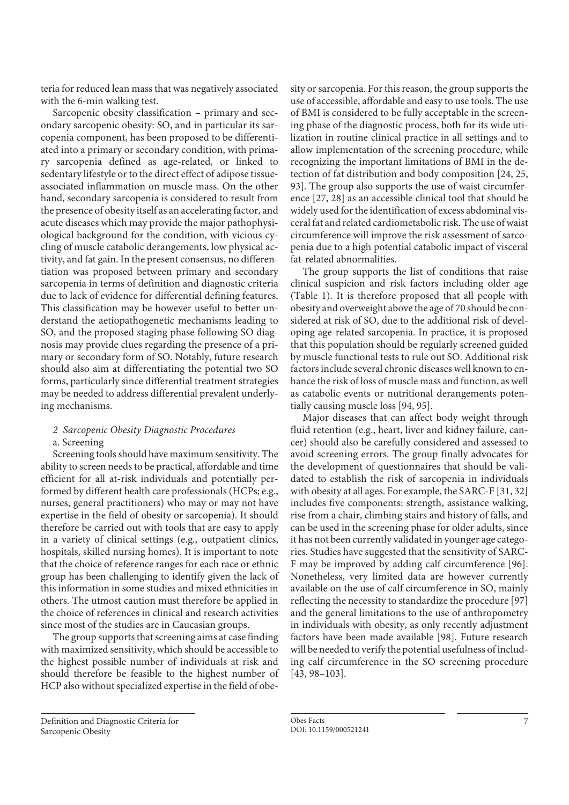teria for reduced lean mass that was negatively associated with the 6-min walking test.

Sarcopenic obesity classification – primary and secondary sarcopenic obesity: SO, and in particular its sarcopenia component, has been proposed to be differentiated into a primary or secondary condition, with primary sarcopenia defined as age-related, or linked to sedentary lifestyle or to the direct effect of adipose tissueassociated inflammation on muscle mass. On the other hand, secondary sarcopenia is considered to result from the presence of obesity itself as an accelerating factor, and acute diseases which may provide the major pathophysiological background for the condition, with vicious cycling of muscle catabolic derangements, low physical activity, and fat gain. In the present consensus, no differentiation was proposed between primary and secondary sarcopenia in terms of definition and diagnostic criteria due to lack of evidence for differential defining features. This classification may be however useful to better understand the aetiopathogenetic mechanisms leading to SO, and the proposed staging phase following SO diagnosis may provide clues regarding the presence of a primary or secondary form of SO. Notably, future research should also aim at differentiating the potential two SO forms, particularly since differential treatment strategies may be needed to address differential prevalent underlying mechanisms.

#### *2 Sarcopenic Obesity Diagnostic Procedures*  a. Screening

Screening tools should have maximum sensitivity. The ability to screen needs to be practical, affordable and time efficient for all at-risk individuals and potentially performed by different health care professionals (HCPs; e.g., nurses, general practitioners) who may or may not have expertise in the field of obesity or sarcopenia). It should therefore be carried out with tools that are easy to apply in a variety of clinical settings (e.g., outpatient clinics, hospitals, skilled nursing homes). It is important to note that the choice of reference ranges for each race or ethnic group has been challenging to identify given the lack of this information in some studies and mixed ethnicities in others. The utmost caution must therefore be applied in the choice of references in clinical and research activities since most of the studies are in Caucasian groups.

The group supports that screening aims at case finding with maximized sensitivity, which should be accessible to the highest possible number of individuals at risk and should therefore be feasible to the highest number of HCP also without specialized expertise in the field of obe-

Definition and Diagnostic Criteria for Sarcopenic Obesity

sity or sarcopenia. For this reason, the group supports the use of accessible, affordable and easy to use tools. The use of BMI is considered to be fully acceptable in the screening phase of the diagnostic process, both for its wide utilization in routine clinical practice in all settings and to allow implementation of the screening procedure, while recognizing the important limitations of BMI in the detection of fat distribution and body composition [24, 25, 93]. The group also supports the use of waist circumference [27, 28] as an accessible clinical tool that should be widely used for the identification of excess abdominal visceral fat and related cardiometabolic risk. The use of waist circumference will improve the risk assessment of sarcopenia due to a high potential catabolic impact of visceral fat-related abnormalities.

The group supports the list of conditions that raise clinical suspicion and risk factors including older age (Table 1). It is therefore proposed that all people with obesity and overweight above the age of 70 should be considered at risk of SO, due to the additional risk of developing age-related sarcopenia. In practice, it is proposed that this population should be regularly screened guided by muscle functional tests to rule out SO. Additional risk factors include several chronic diseases well known to enhance the risk of loss of muscle mass and function, as well as catabolic events or nutritional derangements potentially causing muscle loss [94, 95].

Major diseases that can affect body weight through fluid retention (e.g., heart, liver and kidney failure, cancer) should also be carefully considered and assessed to avoid screening errors. The group finally advocates for the development of questionnaires that should be validated to establish the risk of sarcopenia in individuals with obesity at all ages. For example, the SARC-F [31, 32] includes five components: strength, assistance walking, rise from a chair, climbing stairs and history of falls, and can be used in the screening phase for older adults, since it has not been currently validated in younger age categories. Studies have suggested that the sensitivity of SARC-F may be improved by adding calf circumference [96]. Nonetheless, very limited data are however currently available on the use of calf circumference in SO, mainly reflecting the necessity to standardize the procedure [97] and the general limitations to the use of anthropometry in individuals with obesity, as only recently adjustment factors have been made available [98]. Future research will be needed to verify the potential usefulness of including calf circumference in the SO screening procedure [43, 98–103].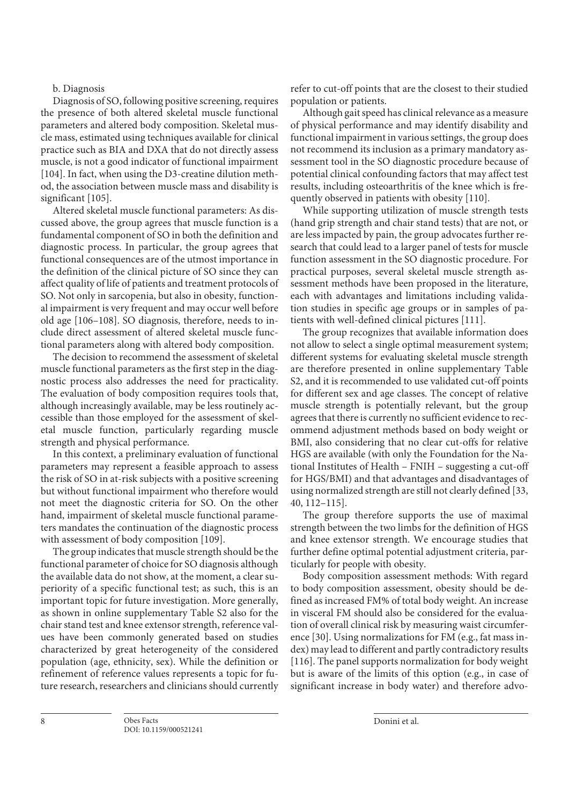## b. Diagnosis

Diagnosis of SO, following positive screening, requires the presence of both altered skeletal muscle functional parameters and altered body composition. Skeletal muscle mass, estimated using techniques available for clinical practice such as BIA and DXA that do not directly assess muscle, is not a good indicator of functional impairment [104]. In fact, when using the D3-creatine dilution method, the association between muscle mass and disability is significant [105].

Altered skeletal muscle functional parameters: As discussed above, the group agrees that muscle function is a fundamental component of SO in both the definition and diagnostic process. In particular, the group agrees that functional consequences are of the utmost importance in the definition of the clinical picture of SO since they can affect quality of life of patients and treatment protocols of SO. Not only in sarcopenia, but also in obesity, functional impairment is very frequent and may occur well before old age [106–108]. SO diagnosis, therefore, needs to include direct assessment of altered skeletal muscle functional parameters along with altered body composition.

The decision to recommend the assessment of skeletal muscle functional parameters as the first step in the diagnostic process also addresses the need for practicality. The evaluation of body composition requires tools that, although increasingly available, may be less routinely accessible than those employed for the assessment of skeletal muscle function, particularly regarding muscle strength and physical performance.

In this context, a preliminary evaluation of functional parameters may represent a feasible approach to assess the risk of SO in at-risk subjects with a positive screening but without functional impairment who therefore would not meet the diagnostic criteria for SO. On the other hand, impairment of skeletal muscle functional parameters mandates the continuation of the diagnostic process with assessment of body composition [109].

The group indicates that muscle strength should be the functional parameter of choice for SO diagnosis although the available data do not show, at the moment, a clear superiority of a specific functional test; as such, this is an important topic for future investigation. More generally, as shown in online supplementary Table S2 also for the chair stand test and knee extensor strength, reference values have been commonly generated based on studies characterized by great heterogeneity of the considered population (age, ethnicity, sex). While the definition or refinement of reference values represents a topic for future research, researchers and clinicians should currently

refer to cut-off points that are the closest to their studied population or patients.

Although gait speed has clinical relevance as a measure of physical performance and may identify disability and functional impairment in various settings, the group does not recommend its inclusion as a primary mandatory assessment tool in the SO diagnostic procedure because of potential clinical confounding factors that may affect test results, including osteoarthritis of the knee which is frequently observed in patients with obesity [110].

While supporting utilization of muscle strength tests (hand grip strength and chair stand tests) that are not, or are less impacted by pain, the group advocates further research that could lead to a larger panel of tests for muscle function assessment in the SO diagnostic procedure. For practical purposes, several skeletal muscle strength assessment methods have been proposed in the literature, each with advantages and limitations including validation studies in specific age groups or in samples of patients with well-defined clinical pictures [111].

The group recognizes that available information does not allow to select a single optimal measurement system; different systems for evaluating skeletal muscle strength are therefore presented in online supplementary Table S2, and it is recommended to use validated cut-off points for different sex and age classes. The concept of relative muscle strength is potentially relevant, but the group agrees that there is currently no sufficient evidence to recommend adjustment methods based on body weight or BMI, also considering that no clear cut-offs for relative HGS are available (with only the Foundation for the National Institutes of Health – FNIH – suggesting a cut-off for HGS/BMI) and that advantages and disadvantages of using normalized strength are still not clearly defined [33, 40, 112–115].

The group therefore supports the use of maximal strength between the two limbs for the definition of HGS and knee extensor strength. We encourage studies that further define optimal potential adjustment criteria, particularly for people with obesity.

Body composition assessment methods: With regard to body composition assessment, obesity should be defined as increased FM% of total body weight. An increase in visceral FM should also be considered for the evaluation of overall clinical risk by measuring waist circumference [30]. Using normalizations for FM (e.g., fat mass index) may lead to different and partly contradictory results [116]. The panel supports normalization for body weight but is aware of the limits of this option (e.g., in case of significant increase in body water) and therefore advo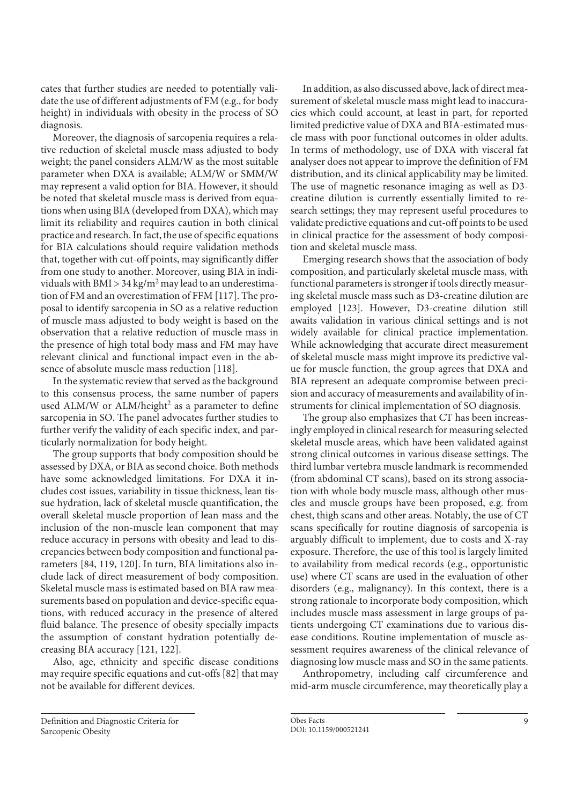cates that further studies are needed to potentially validate the use of different adjustments of FM (e.g., for body height) in individuals with obesity in the process of SO diagnosis.

Moreover, the diagnosis of sarcopenia requires a relative reduction of skeletal muscle mass adjusted to body weight; the panel considers ALM/W as the most suitable parameter when DXA is available; ALM/W or SMM/W may represent a valid option for BIA. However, it should be noted that skeletal muscle mass is derived from equations when using BIA (developed from DXA), which may limit its reliability and requires caution in both clinical practice and research. In fact, the use of specific equations for BIA calculations should require validation methods that, together with cut-off points, may significantly differ from one study to another. Moreover, using BIA in individuals with BMI > 34 kg/m<sup>2</sup> may lead to an underestimation of FM and an overestimation of FFM [117]. The proposal to identify sarcopenia in SO as a relative reduction of muscle mass adjusted to body weight is based on the observation that a relative reduction of muscle mass in the presence of high total body mass and FM may have relevant clinical and functional impact even in the absence of absolute muscle mass reduction [118].

In the systematic review that served as the background to this consensus process, the same number of papers used ALM/W or ALM/height<sup>2</sup> as a parameter to define sarcopenia in SO. The panel advocates further studies to further verify the validity of each specific index, and particularly normalization for body height.

The group supports that body composition should be assessed by DXA, or BIA as second choice. Both methods have some acknowledged limitations. For DXA it includes cost issues, variability in tissue thickness, lean tissue hydration, lack of skeletal muscle quantification, the overall skeletal muscle proportion of lean mass and the inclusion of the non-muscle lean component that may reduce accuracy in persons with obesity and lead to discrepancies between body composition and functional parameters [84, 119, 120]. In turn, BIA limitations also include lack of direct measurement of body composition. Skeletal muscle mass is estimated based on BIA raw measurements based on population and device-specific equations, with reduced accuracy in the presence of altered fluid balance. The presence of obesity specially impacts the assumption of constant hydration potentially decreasing BIA accuracy [121, 122].

Also, age, ethnicity and specific disease conditions may require specific equations and cut-offs [82] that may not be available for different devices.

In addition, as also discussed above, lack of direct measurement of skeletal muscle mass might lead to inaccuracies which could account, at least in part, for reported limited predictive value of DXA and BIA-estimated muscle mass with poor functional outcomes in older adults. In terms of methodology, use of DXA with visceral fat analyser does not appear to improve the definition of FM distribution, and its clinical applicability may be limited. The use of magnetic resonance imaging as well as D3 creatine dilution is currently essentially limited to research settings; they may represent useful procedures to validate predictive equations and cut-off points to be used in clinical practice for the assessment of body composition and skeletal muscle mass.

Emerging research shows that the association of body composition, and particularly skeletal muscle mass, with functional parameters is stronger if tools directly measuring skeletal muscle mass such as D3-creatine dilution are employed [123]. However, D3-creatine dilution still awaits validation in various clinical settings and is not widely available for clinical practice implementation. While acknowledging that accurate direct measurement of skeletal muscle mass might improve its predictive value for muscle function, the group agrees that DXA and BIA represent an adequate compromise between precision and accuracy of measurements and availability of instruments for clinical implementation of SO diagnosis.

The group also emphasizes that CT has been increasingly employed in clinical research for measuring selected skeletal muscle areas, which have been validated against strong clinical outcomes in various disease settings. The third lumbar vertebra muscle landmark is recommended (from abdominal CT scans), based on its strong association with whole body muscle mass, although other muscles and muscle groups have been proposed, e.g. from chest, thigh scans and other areas. Notably, the use of CT scans specifically for routine diagnosis of sarcopenia is arguably difficult to implement, due to costs and X-ray exposure. Therefore, the use of this tool is largely limited to availability from medical records (e.g., opportunistic use) where CT scans are used in the evaluation of other disorders (e.g., malignancy). In this context, there is a strong rationale to incorporate body composition, which includes muscle mass assessment in large groups of patients undergoing CT examinations due to various disease conditions. Routine implementation of muscle assessment requires awareness of the clinical relevance of diagnosing low muscle mass and SO in the same patients.

Anthropometry, including calf circumference and mid-arm muscle circumference, may theoretically play a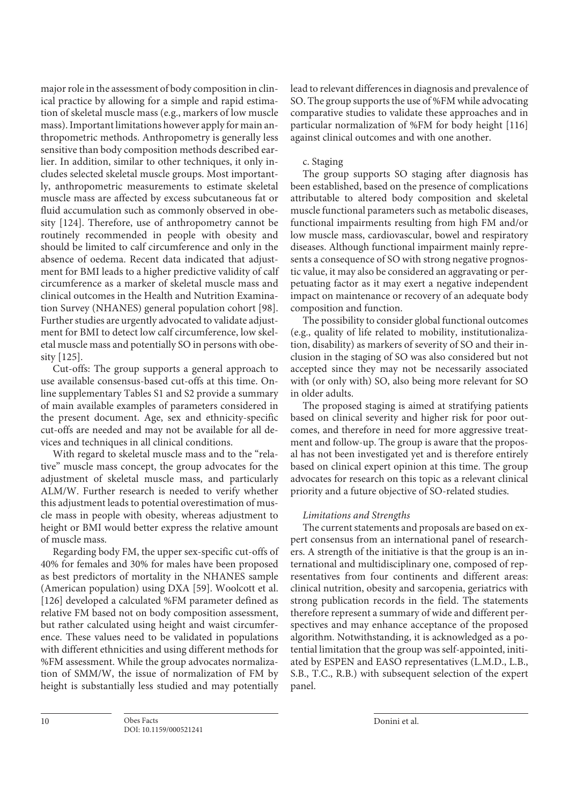major role in the assessment of body composition in clinical practice by allowing for a simple and rapid estimation of skeletal muscle mass (e.g., markers of low muscle mass). Important limitations however apply for main anthropometric methods. Anthropometry is generally less sensitive than body composition methods described earlier. In addition, similar to other techniques, it only includes selected skeletal muscle groups. Most importantly, anthropometric measurements to estimate skeletal muscle mass are affected by excess subcutaneous fat or fluid accumulation such as commonly observed in obesity [124]. Therefore, use of anthropometry cannot be routinely recommended in people with obesity and should be limited to calf circumference and only in the absence of oedema. Recent data indicated that adjustment for BMI leads to a higher predictive validity of calf circumference as a marker of skeletal muscle mass and clinical outcomes in the Health and Nutrition Examination Survey (NHANES) general population cohort [98]. Further studies are urgently advocated to validate adjustment for BMI to detect low calf circumference, low skeletal muscle mass and potentially SO in persons with obesity [125].

Cut-offs: The group supports a general approach to use available consensus-based cut-offs at this time. Online supplementary Tables S1 and S2 provide a summary of main available examples of parameters considered in the present document. Age, sex and ethnicity-specific cut-offs are needed and may not be available for all devices and techniques in all clinical conditions.

With regard to skeletal muscle mass and to the "relative" muscle mass concept, the group advocates for the adjustment of skeletal muscle mass, and particularly ALM/W. Further research is needed to verify whether this adjustment leads to potential overestimation of muscle mass in people with obesity, whereas adjustment to height or BMI would better express the relative amount of muscle mass.

Regarding body FM, the upper sex-specific cut-offs of 40% for females and 30% for males have been proposed as best predictors of mortality in the NHANES sample (American population) using DXA [59]. Woolcott et al. [126] developed a calculated %FM parameter defined as relative FM based not on body composition assessment, but rather calculated using height and waist circumference. These values need to be validated in populations with different ethnicities and using different methods for %FM assessment. While the group advocates normalization of SMM/W, the issue of normalization of FM by height is substantially less studied and may potentially

lead to relevant differences in diagnosis and prevalence of SO. The group supports the use of %FM while advocating comparative studies to validate these approaches and in particular normalization of %FM for body height [116] against clinical outcomes and with one another.

#### c. Staging

The group supports SO staging after diagnosis has been established, based on the presence of complications attributable to altered body composition and skeletal muscle functional parameters such as metabolic diseases, functional impairments resulting from high FM and/or low muscle mass, cardiovascular, bowel and respiratory diseases. Although functional impairment mainly represents a consequence of SO with strong negative prognostic value, it may also be considered an aggravating or perpetuating factor as it may exert a negative independent impact on maintenance or recovery of an adequate body composition and function.

The possibility to consider global functional outcomes (e.g., quality of life related to mobility, institutionalization, disability) as markers of severity of SO and their inclusion in the staging of SO was also considered but not accepted since they may not be necessarily associated with (or only with) SO, also being more relevant for SO in older adults.

The proposed staging is aimed at stratifying patients based on clinical severity and higher risk for poor outcomes, and therefore in need for more aggressive treatment and follow-up. The group is aware that the proposal has not been investigated yet and is therefore entirely based on clinical expert opinion at this time. The group advocates for research on this topic as a relevant clinical priority and a future objective of SO-related studies.

# *Limitations and Strengths*

The current statements and proposals are based on expert consensus from an international panel of researchers. A strength of the initiative is that the group is an international and multidisciplinary one, composed of representatives from four continents and different areas: clinical nutrition, obesity and sarcopenia, geriatrics with strong publication records in the field. The statements therefore represent a summary of wide and different perspectives and may enhance acceptance of the proposed algorithm. Notwithstanding, it is acknowledged as a potential limitation that the group was self-appointed, initiated by ESPEN and EASO representatives (L.M.D., L.B., S.B., T.C., R.B.) with subsequent selection of the expert panel.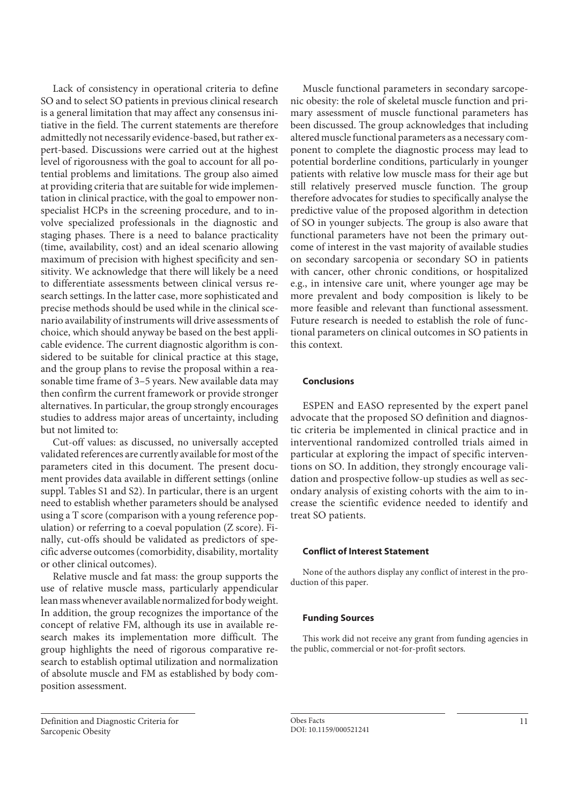Lack of consistency in operational criteria to define SO and to select SO patients in previous clinical research is a general limitation that may affect any consensus initiative in the field. The current statements are therefore admittedly not necessarily evidence-based, but rather expert-based. Discussions were carried out at the highest level of rigorousness with the goal to account for all potential problems and limitations. The group also aimed at providing criteria that are suitable for wide implementation in clinical practice, with the goal to empower nonspecialist HCPs in the screening procedure, and to involve specialized professionals in the diagnostic and staging phases. There is a need to balance practicality (time, availability, cost) and an ideal scenario allowing maximum of precision with highest specificity and sensitivity. We acknowledge that there will likely be a need to differentiate assessments between clinical versus research settings. In the latter case, more sophisticated and precise methods should be used while in the clinical scenario availability of instruments will drive assessments of choice, which should anyway be based on the best applicable evidence. The current diagnostic algorithm is considered to be suitable for clinical practice at this stage, and the group plans to revise the proposal within a reasonable time frame of 3–5 years. New available data may then confirm the current framework or provide stronger alternatives. In particular, the group strongly encourages studies to address major areas of uncertainty, including but not limited to:

Cut-off values: as discussed, no universally accepted validated references are currently available for most of the parameters cited in this document. The present document provides data available in different settings (online suppl. Tables S1 and S2). In particular, there is an urgent need to establish whether parameters should be analysed using a T score (comparison with a young reference population) or referring to a coeval population (Z score). Finally, cut-offs should be validated as predictors of specific adverse outcomes (comorbidity, disability, mortality or other clinical outcomes).

Relative muscle and fat mass: the group supports the use of relative muscle mass, particularly appendicular lean mass whenever available normalized for body weight. In addition, the group recognizes the importance of the concept of relative FM, although its use in available research makes its implementation more difficult. The group highlights the need of rigorous comparative research to establish optimal utilization and normalization of absolute muscle and FM as established by body composition assessment.

Definition and Diagnostic Criteria for Sarcopenic Obesity

Muscle functional parameters in secondary sarcopenic obesity: the role of skeletal muscle function and primary assessment of muscle functional parameters has been discussed. The group acknowledges that including altered muscle functional parameters as a necessary component to complete the diagnostic process may lead to potential borderline conditions, particularly in younger patients with relative low muscle mass for their age but still relatively preserved muscle function. The group therefore advocates for studies to specifically analyse the predictive value of the proposed algorithm in detection of SO in younger subjects. The group is also aware that functional parameters have not been the primary outcome of interest in the vast majority of available studies on secondary sarcopenia or secondary SO in patients with cancer, other chronic conditions, or hospitalized e.g., in intensive care unit, where younger age may be more prevalent and body composition is likely to be more feasible and relevant than functional assessment. Future research is needed to establish the role of functional parameters on clinical outcomes in SO patients in this context.

#### **Conclusions**

ESPEN and EASO represented by the expert panel advocate that the proposed SO definition and diagnostic criteria be implemented in clinical practice and in interventional randomized controlled trials aimed in particular at exploring the impact of specific interventions on SO. In addition, they strongly encourage validation and prospective follow-up studies as well as secondary analysis of existing cohorts with the aim to increase the scientific evidence needed to identify and treat SO patients.

#### **Conflict of Interest Statement**

None of the authors display any conflict of interest in the production of this paper.

#### **Funding Sources**

This work did not receive any grant from funding agencies in the public, commercial or not-for-profit sectors.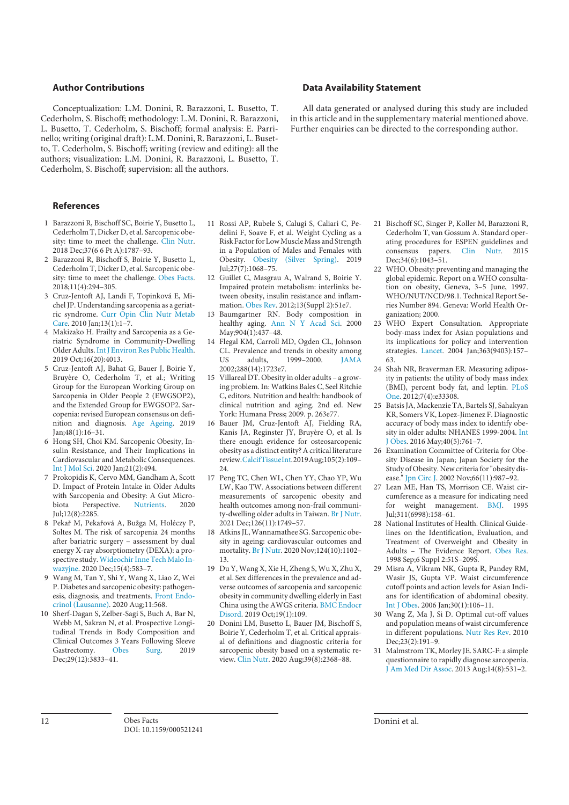#### **Author Contributions**

Conceptualization: L.M. Donini, R. Barazzoni, L. Busetto, T. Cederholm, S. Bischoff; methodology: L.M. Donini, R. Barazzoni, L. Busetto, T. Cederholm, S. Bischoff; formal analysis: E. Parrinello; writing (original draft): L.M. Donini, R. Barazzoni, L. Busetto, T. Cederholm, S. Bischoff; writing (review and editing): all the authors; visualization: L.M. Donini, R. Barazzoni, L. Busetto, T. Cederholm, S. Bischoff; supervision: all the authors.

#### **References**

- 1 Barazzoni R, Bischoff SC, Boirie Y, Busetto L, Cederholm T, Dicker D, et al. Sarcopenic obesity: time to meet the challenge. Clin Nutr. 2018 Dec;37(6 6 Pt A):1787–93.
- 2 Barazzoni R, Bischoff S, Boirie Y, Busetto L, Cederholm T, Dicker D, et al. Sarcopenic obesity: time to meet the challenge. Obes Facts. 2018;11(4):294–305.
- 3 Cruz-Jentoft AJ, Landi F, Topinková E, Michel JP. Understanding sarcopenia as a geriatric syndrome. Curr Opin Clin Nutr Metab Care. 2010 Jan;13(1):1–7.
- 4 Makizako H. Frailty and Sarcopenia as a Geriatric Syndrome in Community-Dwelling Older Adults. Int J Environ Res Public Health. 2019 Oct;16(20):4013.
- 5 Cruz-Jentoft AJ, Bahat G, Bauer J, Boirie Y, Bruyère O, Cederholm T, et al.; Writing Group for the European Working Group on Sarcopenia in Older People 2 (EWGSOP2), and the Extended Group for EWGSOP2. Sarcopenia: revised European consensus on definition and diagnosis. Age Ageing. 2019 Jan;48(1):16–31.
- 6 Hong SH, Choi KM. Sarcopenic Obesity, Insulin Resistance, and Their Implications in Cardiovascular and Metabolic Consequences. Int J Mol Sci. 2020 Jan;21(2):494.
- 7 Prokopidis K, Cervo MM, Gandham A, Scott D. Impact of Protein Intake in Older Adults with Sarcopenia and Obesity: A Gut Micro-<br>biota Perspective. Nutrients. 2020 biota Perspective. Nutrients. 2020 Jul;12(8):2285.
- 8 Pekař M, Pekařová A, Bužga M, Holéczy P, Soltes M. The risk of sarcopenia 24 months after bariatric surgery – assessment by dual energy X-ray absorptiometry (DEXA): a prospective study. Wideochir Inne Tech Malo Inwazyjne. 2020 Dec;15(4):583–7.
- 9 Wang M, Tan Y, Shi Y, Wang X, Liao Z, Wei P. Diabetes and sarcopenic obesity: pathogenesis, diagnosis, and treatments. Front Endocrinol (Lausanne). 2020 Aug;11:568.
- 10 Sherf-Dagan S, Zelber-Sagi S, Buch A, Bar N, Webb M, Sakran N, et al. Prospective Longitudinal Trends in Body Composition and Clinical Outcomes 3 Years Following Sleeve Gastrectomy. Obes Surg. 2019 Dec;29(12):3833–41.
- 11 Rossi AP, Rubele S, Calugi S, Caliari C, Pedelini F, Soave F, et al. Weight Cycling as a Risk Factor for Low Muscle Mass and Strength in a Population of Males and Females with Obesity. Obesity (Silver Spring). 2019  $Iul:27(7):1068-75.$
- 12 Guillet C, Masgrau A, Walrand S, Boirie Y. Impaired protein metabolism: interlinks between obesity, insulin resistance and inflammation. Obes Rev. 2012;13(Suppl 2):51e7.
- 13 Baumgartner RN. Body composition in healthy aging. Ann N Y Acad Sci. 2000 May; 904(1): 437-48.
- 14 Flegal KM, Carroll MD, Ogden CL, Johnson CL. Prevalence and trends in obesity among<br>US adults. 1999–2000. IAMA 1999–2000. 2002;288(14):1723e7.
- 15 Villareal DT. Obesity in older adults a growing problem. In: Watkins Bales C, Seel Ritchie C, editors. Nutrition and health: handbook of clinical nutrition and aging. 2nd ed. New York: Humana Press; 2009. p. 263e77.
- 16 Bauer JM, Cruz-Jentoft AJ, Fielding RA, Kanis JA, Reginster JY, Bruyère O, et al. Is there enough evidence for osteosarcopenic obesity as a distinct entity? A critical literature review. Calcif Tissue Int. 2019 Aug;105(2):109– 24.
- 17 Peng TC, Chen WL, Chen YY, Chao YP, Wu LW, Kao TW. Associations between different measurements of sarcopenic obesity and health outcomes among non-frail community-dwelling older adults in Taiwan. Br J Nutr. 2021 Dec;126(11):1749–57.
- 18 Atkins JL, Wannamathee SG. Sarcopenic obesity in ageing: cardiovascular outcomes and mortality. Br J Nutr. 2020 Nov;124(10):1102– 13.
- 19 Du Y, Wang X, Xie H, Zheng S, Wu X, Zhu X, et al. Sex differences in the prevalence and adverse outcomes of sarcopenia and sarcopenic obesity in community dwelling elderly in East China using the AWGS criteria. BMC Endocr Disord. 2019 Oct;19(1):109.
- 20 Donini LM, Busetto L, Bauer JM, Bischoff S, Boirie Y, Cederholm T, et al. Critical appraisal of definitions and diagnostic criteria for sarcopenic obesity based on a systematic review. Clin Nutr. 2020 Aug;39(8):2368–88.

#### **Data Availability Statement**

All data generated or analysed during this study are included in this article and in the supplementary material mentioned above. Further enquiries can be directed to the corresponding author.

- 21 Bischoff SC, Singer P, Koller M, Barazzoni R, Cederholm T, van Gossum A. Standard operating procedures for ESPEN guidelines and consensus papers. Clin Nutr. 2015 Dec;34(6):1043-51.
- 22 WHO. Obesity: preventing and managing the global epidemic. Report on a WHO consultation on obesity, Geneva, 3–5 June, 1997. WHO/NUT/NCD/98.1. Technical Report Series Number 894. Geneva: World Health Organization; 2000.
- 23 WHO Expert Consultation. Appropriate body-mass index for Asian populations and its implications for policy and intervention strategies. Lancet. 2004 Jan;363(9403):157– 63.
- 24 Shah NR, Braverman ER. Measuring adiposity in patients: the utility of body mass index (BMI), percent body fat, and leptin. PLoS One. 2012;7(4):e33308.
- 25 Batsis JA, Mackenzie TA, Bartels SJ, Sahakyan KR, Somers VK, Lopez-Jimenez F. Diagnostic accuracy of body mass index to identify obesity in older adults: NHANES 1999-2004. Int J Obes. 2016 May;40(5):761–7.
- 26 Examination Committee of Criteria for Obesity Disease in Japan; Japan Society for the Study of Obesity. New criteria for "obesity disease." Jpn Circ I. 2002 Nov;66(11):987–92.
- 27 Lean ME, Han TS, Morrison CE. Waist circumference as a measure for indicating need for weight management. BMJ. 1995 Jul;311(6998):158–61.
- 28 National Institutes of Health. Clinical Guidelines on the Identification, Evaluation, and Treatment of Overweight and Obesity in Adults – The Evidence Report. Obes Res. 1998 Sep;6 Suppl 2:51S–209S.
- 29 Misra A, Vikram NK, Gupta R, Pandey RM, Wasir JS, Gupta VP. Waist circumference cutoff points and action levels for Asian Indians for identification of abdominal obesity. Int J Obes. 2006 Jan;30(1):106–11.
- 30 Wang Z, Ma J, Si D. Optimal cut-off values and population means of waist circumference in different populations. Nutr Res Rev. 2010  $Dec; 23(2): 191-9.$
- 31 Malmstrom TK, Morley JE. SARC-F: a simple questionnaire to rapidly diagnose sarcopenia. J Am Med Dir Assoc. 2013 Aug;14(8):531–2.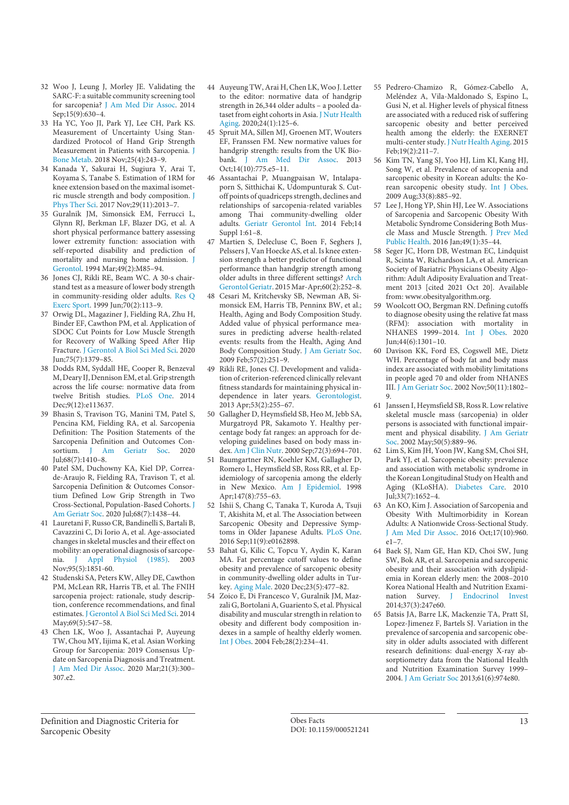- 32 Woo J, Leung J, Morley JE. Validating the SARC-F: a suitable community screening tool for sarcopenia? J Am Med Dir Assoc. 2014 Sep;15(9):630–4.
- 33 Ha YC, Yoo JI, Park YJ, Lee CH, Park KS. Measurement of Uncertainty Using Standardized Protocol of Hand Grip Strength Measurement in Patients with Sarcopenia. J Bone Metab. 2018 Nov;25(4):243–9.
- 34 Kanada Y, Sakurai H, Sugiura Y, Arai T, Koyama S, Tanabe S. Estimation of 1RM for knee extension based on the maximal isometric muscle strength and body composition. J Phys Ther Sci. 2017 Nov;29(11):2013–7.
- 35 Guralnik JM, Simonsick EM, Ferrucci L, Glynn RJ, Berkman LF, Blazer DG, et al. A short physical performance battery assessing lower extremity function: association with self-reported disability and prediction of mortality and nursing home admission. J Gerontol. 1994 Mar;49(2):M85–94.
- 36 Jones CJ, Rikli RE, Beam WC. A 30-s chairstand test as a measure of lower body strength in community-residing older adults. Res Q Exerc Sport. 1999 Jun;70(2):113–9.
- 37 Orwig DL, Magaziner J, Fielding RA, Zhu H, Binder EF, Cawthon PM, et al. Application of SDOC Cut Points for Low Muscle Strength for Recovery of Walking Speed After Hip Fracture. J Gerontol A Biol Sci Med Sci. 2020 Jun;75(7):1379–85.
- 38 Dodds RM, Syddall HE, Cooper R, Benzeval M, Deary IJ, Dennison EM, et al. Grip strength across the life course: normative data from twelve British studies. PLoS One. 2014 Dec;9(12):e113637.
- 39 Bhasin S, Travison TG, Manini TM, Patel S, Pencina KM, Fielding RA, et al. Sarcopenia Definition: The Position Statements of the Sarcopenia Definition and Outcomes Consortium. I Am Geriatr Soc. 2020  $Iul:68(7):1410-8.$
- 40 Patel SM, Duchowny KA, Kiel DP, Correade-Araujo R, Fielding RA, Travison T, et al. Sarcopenia Definition & Outcomes Consortium Defined Low Grip Strength in Two Cross-Sectional, Population-Based Cohorts. J Am Geriatr Soc. 2020 Jul;68(7):1438–44.
- 41 Lauretani F, Russo CR, Bandinelli S, Bartali B, Cavazzini C, Di Iorio A, et al. Age-associated changes in skeletal muscles and their effect on mobility: an operational diagnosis of sarcopenia. J Appl Physiol (1985). 2003 Nov;95(5):1851-60.
- 42 Studenski SA, Peters KW, Alley DE, Cawthon PM, McLean RR, Harris TB, et al. The FNIH sarcopenia project: rationale, study description, conference recommendations, and final estimates. J Gerontol A Biol Sci Med Sci. 2014 May:69(5):547-58.
- 43 Chen LK, Woo J, Assantachai P, Auyeung TW, Chou MY, Iijima K, et al. Asian Working Group for Sarcopenia: 2019 Consensus Update on Sarcopenia Diagnosis and Treatment. J Am Med Dir Assoc. 2020 Mar;21(3):300– 307.e2.
- 44 Auyeung TW, Arai H, Chen LK, Woo J. Letter to the editor: normative data of handgrip strength in 26,344 older adults – a pooled dataset from eight cohorts in Asia. J Nutr Health Aging. 2020;24(1):125–6.
- 45 Spruit MA, Sillen MJ, Groenen MT, Wouters EF, Franssen FM. New normative values for handgrip strength: results from the UK Biobank. J Am Med Dir Assoc. 2013 Oct;14(10):775.e5–11.
- 46 Assantachai P, Muangpaisan W, Intalapaporn S, Sitthichai K, Udompunturak S. Cutoff points of quadriceps strength, declines and relationships of sarcopenia-related variables among Thai community-dwelling older adults. Geriatr Gerontol Int. 2014 Feb;14 Suppl 1:61–8.
- 47 Martien S, Delecluse C, Boen F, Seghers J, Pelssers J, Van Hoecke AS, et al. Is knee extension strength a better predictor of functional performance than handgrip strength among older adults in three different settings? Arch Gerontol Geriatr. 2015 Mar-Apr;60(2):252–8.
- 48 Cesari M, Kritchevsky SB, Newman AB, Simonsick EM, Harris TB, Penninx BW, et al.; Health, Aging and Body Composition Study. Added value of physical performance measures in predicting adverse health-related events: results from the Health, Aging And Body Composition Study. J Am Geriatr Soc. 2009 Feb;57(2):251–9.
- 49 Rikli RE, Jones CJ. Development and validation of criterion-referenced clinically relevant fitness standards for maintaining physical independence in later years. Gerontologist. 2013 Apr;53(2):255–67.
- 50 Gallagher D, Heymsfield SB, Heo M, Jebb SA, Murgatroyd PR, Sakamoto Y. Healthy percentage body fat ranges: an approach for developing guidelines based on body mass index. Am J Clin Nutr. 2000 Sep;72(3):694–701.
- 51 Baumgartner RN, Koehler KM, Gallagher D, Romero L, Heymsfield SB, Ross RR, et al. Epidemiology of sarcopenia among the elderly in New Mexico. Am J Epidemiol. 1998 Apr;147(8):755-63.
- 52 Ishii S, Chang C, Tanaka T, Kuroda A, Tsuji T, Akishita M, et al. The Association between Sarcopenic Obesity and Depressive Symptoms in Older Japanese Adults. PLoS One. 2016 Sep;11(9):e0162898.
- 53 Bahat G, Kilic C, Topcu Y, Aydin K, Karan MA. Fat percentage cutoff values to define obesity and prevalence of sarcopenic obesity in community-dwelling older adults in Turkey. Aging Male. 2020 Dec;23(5):477–82.
- 54 Zoico E, Di Francesco V, Guralnik JM, Mazzali G, Bortolani A, Guariento S, et al. Physical disability and muscular strength in relation to obesity and different body composition indexes in a sample of healthy elderly women. Int J Obes. 2004 Feb;28(2):234–41.
- 55 Pedrero-Chamizo R, Gómez-Cabello A, Meléndez A, Vila-Maldonado S, Espino L, Gusi N, et al. Higher levels of physical fitness are associated with a reduced risk of suffering sarcopenic obesity and better perceived health among the elderly: the EXERNET multi-center study. J Nutr Health Aging. 2015 Feb;19(2):211–7.
- 56 Kim TN, Yang SJ, Yoo HJ, Lim KI, Kang HJ, Song W, et al. Prevalence of sarcopenia and sarcopenic obesity in Korean adults: the Korean sarcopenic obesity study. Int J Obes. 2009 Aug;33(8):885–92.
- 57 Lee J, Hong YP, Shin HJ, Lee W. Associations of Sarcopenia and Sarcopenic Obesity With Metabolic Syndrome Considering Both Muscle Mass and Muscle Strength. J Prev Med Public Health. 2016 Jan;49(1):35–44.
- 58 Seger JC, Horn DB, Westman EC, Lindquist R, Scinta W, Richardson LA, et al. American Society of Bariatric Physicians Obesity Algorithm: Adult Adiposity Evaluation and Treatment 2013 [cited 2021 Oct 20]. Available from: www.obesityalgorithm.org.
- 59 Woolcott OO, Bergman RN. Defining cutoffs to diagnose obesity using the relative fat mass (RFM): association with mortality in NHANES 1999–2014. Int J Obes. 2020 Jun;44(6):1301–10.
- 60 Davison KK, Ford ES, Cogswell ME, Dietz WH. Percentage of body fat and body mass index are associated with mobility limitations in people aged 70 and older from NHANES III. J Am Geriatr Soc. 2002 Nov;50(11):1802– 9.
- 61 Janssen I, Heymsfield SB, Ross R. Low relative skeletal muscle mass (sarcopenia) in older persons is associated with functional impairment and physical disability. J Am Geriatr Soc. 2002 May;50(5):889–96.
- 62 Lim S, Kim JH, Yoon JW, Kang SM, Choi SH, Park YJ, et al. Sarcopenic obesity: prevalence and association with metabolic syndrome in the Korean Longitudinal Study on Health and Aging (KLoSHA). Diabetes Care. 2010 Jul;33(7):1652–4.
- 63 An KO, Kim J. Association of Sarcopenia and Obesity With Multimorbidity in Korean Adults: A Nationwide Cross-Sectional Study. J Am Med Dir Assoc. 2016 Oct;17(10):960. e1–7.
- 64 Baek SJ, Nam GE, Han KD, Choi SW, Jung SW, Bok AR, et al. Sarcopenia and sarcopenic obesity and their association with dyslipidemia in Korean elderly men: the 2008–2010 Korea National Health and Nutrition Examination Survey. J Endocrinol Invest 2014;37(3):247e60.
- 65 Batsis JA, Barre LK, Mackenzie TA, Pratt SI, Lopez-Jimenez F, Bartels SJ. Variation in the prevalence of sarcopenia and sarcopenic obesity in older adults associated with different research definitions: dual-energy X-ray absorptiometry data from the National Health and Nutrition Examination Survey 1999– 2004. J Am Geriatr Soc 2013;61(6):974e80.

Definition and Diagnostic Criteria for Sarcopenic Obesity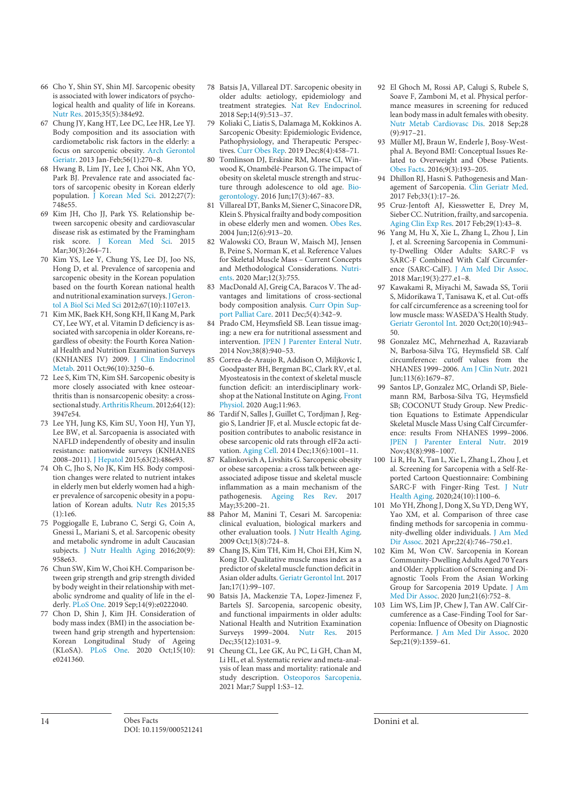- 66 Cho Y, Shin SY, Shin MJ. Sarcopenic obesity is associated with lower indicators of psychological health and quality of life in Koreans. Nutr Res. 2015;35(5):384e92.
- 67 Chung JY, Kang HT, Lee DC, Lee HR, Lee YJ. Body composition and its association with cardiometabolic risk factors in the elderly: a focus on sarcopenic obesity. Arch Gerontol Geriatr. 2013 Jan-Feb;56(1):270–8.
- 68 Hwang B, Lim JY, Lee J, Choi NK, Ahn YO, Park BJ. Prevalence rate and associated factors of sarcopenic obesity in Korean elderly population. J Korean Med Sci. 2012;27(7): 748e55.
- 69 Kim JH, Cho JJ, Park YS. Relationship between sarcopenic obesity and cardiovascular disease risk as estimated by the Framingham risk score. J Korean Med Sci. 2015 Mar;30(3):264–71.
- 70 Kim YS, Lee Y, Chung YS, Lee DJ, Joo NS, Hong D, et al. Prevalence of sarcopenia and sarcopenic obesity in the Korean population based on the fourth Korean national health and nutritional examination surveys. J Gerontol A Biol Sci Med Sci 2012;67(10):1107e13.
- 71 Kim MK, Baek KH, Song KH, Il Kang M, Park CY, Lee WY, et al. Vitamin D deficiency is associated with sarcopenia in older Koreans, regardless of obesity: the Fourth Korea National Health and Nutrition Examination Surveys (KNHANES IV) 2009. J Clin Endocrinol Metab. 2011 Oct;96(10):3250–6.
- 72 Lee S, Kim TN, Kim SH. Sarcopenic obesity is more closely associated with knee osteoarthritis than is nonsarcopenic obesity: a crosssectional study. Arthritis Rheum. 2012;64(12): 3947e54.
- 73 Lee YH, Jung KS, Kim SU, Yoon HJ, Yun YJ, Lee BW, et al. Sarcopaenia is associated with NAFLD independently of obesity and insulin resistance: nationwide surveys (KNHANES 2008–2011). J Hepatol 2015;63(2):486e93.
- 74 Oh C, Jho S, No JK, Kim HS. Body composition changes were related to nutrient intakes in elderly men but elderly women had a higher prevalence of sarcopenic obesity in a population of Korean adults. Nutr Res 2015;35 (1):1e6.
- 75 Poggiogalle E, Lubrano C, Sergi G, Coin A, Gnessi L, Mariani S, et al. Sarcopenic obesity and metabolic syndrome in adult Caucasian subjects. J Nutr Health Aging 2016;20(9): 958e63.
- 76 Chun SW, Kim W, Choi KH. Comparison between grip strength and grip strength divided by body weight in their relationship with metabolic syndrome and quality of life in the elderly. PLoS One. 2019 Sep;14(9):e0222040.
- 77 Chon D, Shin J, Kim JH. Consideration of body mass index (BMI) in the association between hand grip strength and hypertension: Korean Longitudinal Study of Ageing (KLoSA). PLoS One. 2020 Oct;15(10): e0241360.
- 78 Batsis JA, Villareal DT. Sarcopenic obesity in older adults: aetiology, epidemiology and treatment strategies. Nat Rev Endocrinol. 2018 Sep;14(9):513–37.
- 79 Koliaki C, Liatis S, Dalamaga M, Kokkinos A. Sarcopenic Obesity: Epidemiologic Evidence, Pathophysiology, and Therapeutic Perspectives. Curr Obes Rep. 2019 Dec;8(4):458–71.
- 80 Tomlinson DJ, Erskine RM, Morse CI, Winwood K, Onambélé-Pearson G. The impact of obesity on skeletal muscle strength and structure through adolescence to old age. Biogerontology. 2016 Jun;17(3):467–83.
- 81 Villareal DT, Banks M, Siener C, Sinacore DR, Klein S. Physical frailty and body composition in obese elderly men and women. Obes Res. 2004 Jun;12(6):913–20.
- 82 Walowski CO, Braun W, Maisch MJ, Jensen B, Peine S, Norman K, et al. Reference Values for Skeletal Muscle Mass – Current Concepts and Methodological Considerations. Nutrients. 2020 Mar;12(3):755.
- 83 MacDonald AJ, Greig CA, Baracos V. The advantages and limitations of cross-sectional body composition analysis. Curr Opin Support Palliat Care. 2011 Dec;5(4):342–9.
- 84 Prado CM, Heymsfield SB. Lean tissue imaging: a new era for nutritional assessment and intervention. JPEN J Parenter Enteral Nutr. 2014 Nov;38(8):940–53.
- 85 Correa-de-Araujo R, Addison O, Miljkovic I, Goodpaster BH, Bergman BC, Clark RV, et al. Myosteatosis in the context of skeletal muscle function deficit: an interdisciplinary workshop at the National Institute on Aging. Front Physiol. 2020 Aug;11:963.
- 86 Tardif N, Salles J, Guillet C, Tordjman J, Reggio S, Landrier JF, et al. Muscle ectopic fat deposition contributes to anabolic resistance in obese sarcopenic old rats through eIF2α activation. Aging Cell. 2014 Dec;13(6):1001-11.
- 87 Kalinkovich A, Livshits G. Sarcopenic obesity or obese sarcopenia: a cross talk between ageassociated adipose tissue and skeletal muscle inflammation as a main mechanism of the pathogenesis. Ageing Res Rev. 2017 May; 35: 200 - 21.
- 88 Pahor M, Manini T, Cesari M. Sarcopenia: clinical evaluation, biological markers and other evaluation tools. J Nutr Health Aging. 2009 Oct;13(8):724–8.
- 89 Chang JS, Kim TH, Kim H, Choi EH, Kim N, Kong ID. Qualitative muscle mass index as a predictor of skeletal muscle function deficit in Asian older adults. Geriatr Gerontol Int. 2017 Jan;17(1):99–107.
- Batsis JA, Mackenzie TA, Lopez-Jimenez F, Bartels SJ. Sarcopenia, sarcopenic obesity, and functional impairments in older adults: National Health and Nutrition Examination Surveys 1999–2004. Nutr Res. 2015 Dec;35(12):1031-9.
- 91 Cheung CL, Lee GK, Au PC, Li GH, Chan M, Li HL, et al. Systematic review and meta-analysis of lean mass and mortality: rationale and study description. Osteoporos Sarcopenia. 2021 Mar;7 Suppl 1:S3–12.
- 92 El Ghoch M, Rossi AP, Calugi S, Rubele S, Soave F, Zamboni M, et al. Physical performance measures in screening for reduced lean body mass in adult females with obesity. Nutr Metab Cardiovasc Dis. 2018 Sep;28 (9):917–21.
- 93 Müller MJ, Braun W, Enderle J, Bosy-Westphal A. Beyond BMI: Conceptual Issues Related to Overweight and Obese Patients. Obes Facts. 2016;9(3):193–205.
- 94 Dhillon RJ, Hasni S. Pathogenesis and Management of Sarcopenia. Clin Geriatr Med. 2017 Feb;33(1):17–26.
- 95 Cruz-Jentoft AJ, Kiesswetter E, Drey M, Sieber CC. Nutrition, frailty, and sarcopenia. Aging Clin Exp Res. 2017 Feb;29(1):43–8.
- 96 Yang M, Hu X, Xie L, Zhang L, Zhou J, Lin J, et al. Screening Sarcopenia in Community-Dwelling Older Adults: SARC-F vs SARC-F Combined With Calf Circumference (SARC-CalF). J Am Med Dir Assoc. 2018 Mar;19(3):277.e1–8.
- 97 Kawakami R, Miyachi M, Sawada SS, Torii S, Midorikawa T, Tanisawa K, et al. Cut-offs for calf circumference as a screening tool for low muscle mass: WASEDA'S Health Study. Geriatr Gerontol Int. 2020 Oct;20(10):943– 50.
- 98 Gonzalez MC, Mehrnezhad A, Razaviarab N, Barbosa-Silva TG, Heymsfield SB. Calf circumference: cutoff values from the NHANES 1999–2006. Am J Clin Nutr. 2021 Jun;113(6):1679–87.
- 99 Santos LP, Gonzalez MC, Orlandi SP, Bielemann RM, Barbosa-Silva TG, Heymsfield SB; COCONUT Study Group. New Prediction Equations to Estimate Appendicular Skeletal Muscle Mass Using Calf Circumference: results From NHANES 1999–2006. JPEN J Parenter Enteral Nutr. 2019 Nov;43(8):998–1007.
- 100 Li R, Hu X, Tan L, Xie L, Zhang L, Zhou J, et al. Screening for Sarcopenia with a Self-Reported Cartoon Questionnaire: Combining SARC-F with Finger-Ring Test. J Nutr Health Aging. 2020;24(10):1100–6.
- 101 Mo YH, Zhong J, Dong X, Su YD, Deng WY, Yao XM, et al. Comparison of three case finding methods for sarcopenia in community-dwelling older individuals. J Am Med Dir Assoc. 2021 Apr;22(4):746–750.e1.
- 102 Kim M, Won CW. Sarcopenia in Korean Community-Dwelling Adults Aged 70Years and Older: Application of Screening and Diagnostic Tools From the Asian Working Group for Sarcopenia 2019 Update. J Am Med Dir Assoc. 2020 Jun;21(6):752–8.
- 103 Lim WS, Lim JP, Chew J, Tan AW. Calf Circumference as a Case-Finding Tool for Sarcopenia: Influence of Obesity on Diagnostic Performance. J Am Med Dir Assoc. 2020 Sep: 21(9): 1359-61.